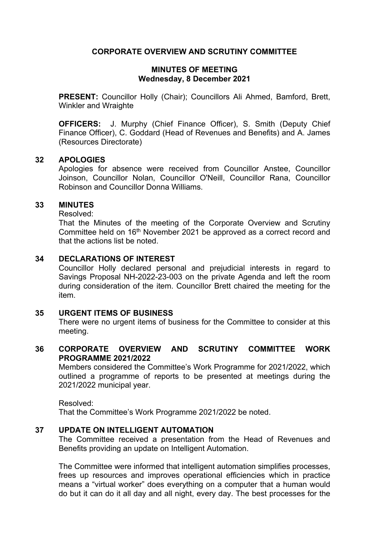# **CORPORATE OVERVIEW AND SCRUTINY COMMITTEE**

## **MINUTES OF MEETING Wednesday, 8 December 2021**

**PRESENT:** Councillor Holly (Chair); Councillors Ali Ahmed, Bamford, Brett, Winkler and Wraighte

**OFFICERS:** J. Murphy (Chief Finance Officer), S. Smith (Deputy Chief Finance Officer), C. Goddard (Head of Revenues and Benefits) and A. James (Resources Directorate)

## **32 APOLOGIES**

Apologies for absence were received from Councillor Anstee, Councillor Joinson, Councillor Nolan, Councillor O'Neill, Councillor Rana, Councillor Robinson and Councillor Donna Williams.

## **33 MINUTES**

Resolved:

That the Minutes of the meeting of the Corporate Overview and Scrutiny Committee held on 16th November 2021 be approved as a correct record and that the actions list be noted.

## **34 DECLARATIONS OF INTEREST**

Councillor Holly declared personal and prejudicial interests in regard to Savings Proposal NH-2022-23-003 on the private Agenda and left the room during consideration of the item. Councillor Brett chaired the meeting for the item.

## **35 URGENT ITEMS OF BUSINESS**

There were no urgent items of business for the Committee to consider at this meeting.

# **36 CORPORATE OVERVIEW AND SCRUTINY COMMITTEE WORK PROGRAMME 2021/2022**

Members considered the Committee's Work Programme for 2021/2022, which outlined a programme of reports to be presented at meetings during the 2021/2022 municipal year.

Resolved:

That the Committee's Work Programme 2021/2022 be noted.

# **37 UPDATE ON INTELLIGENT AUTOMATION**

The Committee received a presentation from the Head of Revenues and Benefits providing an update on Intelligent Automation.

The Committee were informed that intelligent automation simplifies processes, frees up resources and improves operational efficiencies which in practice means a "virtual worker" does everything on a computer that a human would do but it can do it all day and all night, every day. The best processes for the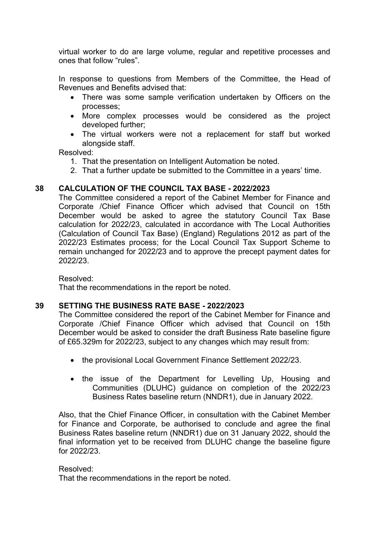virtual worker to do are large volume, regular and repetitive processes and ones that follow "rules".

In response to questions from Members of the Committee, the Head of Revenues and Benefits advised that:

- There was some sample verification undertaken by Officers on the processes;
- More complex processes would be considered as the project developed further;
- The virtual workers were not a replacement for staff but worked alongside staff.

Resolved:

- 1. That the presentation on Intelligent Automation be noted.
- 2. That a further update be submitted to the Committee in a years' time.

# **38 CALCULATION OF THE COUNCIL TAX BASE - 2022/2023**

The Committee considered a report of the Cabinet Member for Finance and Corporate /Chief Finance Officer which advised that Council on 15th December would be asked to agree the statutory Council Tax Base calculation for 2022/23, calculated in accordance with The Local Authorities (Calculation of Council Tax Base) (England) Regulations 2012 as part of the 2022/23 Estimates process; for the Local Council Tax Support Scheme to remain unchanged for 2022/23 and to approve the precept payment dates for 2022/23.

Resolved:

That the recommendations in the report be noted.

### **39 SETTING THE BUSINESS RATE BASE - 2022/2023**

The Committee considered the report of the Cabinet Member for Finance and Corporate /Chief Finance Officer which advised that Council on 15th December would be asked to consider the draft Business Rate baseline figure of £65.329m for 2022/23, subject to any changes which may result from:

- the provisional Local Government Finance Settlement 2022/23.
- the issue of the Department for Levelling Up, Housing and Communities (DLUHC) guidance on completion of the 2022/23 Business Rates baseline return (NNDR1), due in January 2022.

Also, that the Chief Finance Officer, in consultation with the Cabinet Member for Finance and Corporate, be authorised to conclude and agree the final Business Rates baseline return (NNDR1) due on 31 January 2022, should the final information yet to be received from DLUHC change the baseline figure for 2022/23.

#### Resolved:

That the recommendations in the report be noted.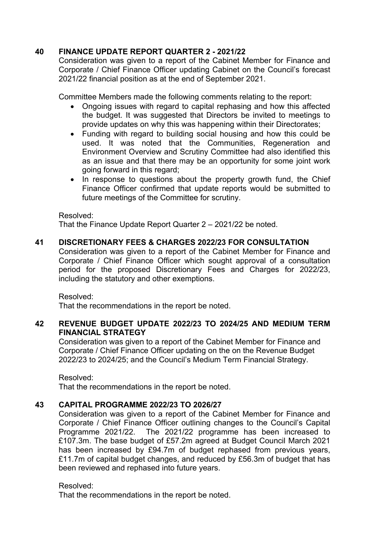# **40 FINANCE UPDATE REPORT QUARTER 2 - 2021/22**

Consideration was given to a report of the Cabinet Member for Finance and Corporate / Chief Finance Officer updating Cabinet on the Council's forecast 2021/22 financial position as at the end of September 2021.

Committee Members made the following comments relating to the report:

- Ongoing issues with regard to capital rephasing and how this affected the budget. It was suggested that Directors be invited to meetings to provide updates on why this was happening within their Directorates;
- Funding with regard to building social housing and how this could be used. It was noted that the Communities, Regeneration and Environment Overview and Scrutiny Committee had also identified this as an issue and that there may be an opportunity for some joint work going forward in this regard;
- In response to questions about the property growth fund, the Chief Finance Officer confirmed that update reports would be submitted to future meetings of the Committee for scrutiny.

## Resolved:

That the Finance Update Report Quarter 2 – 2021/22 be noted.

# **41 DISCRETIONARY FEES & CHARGES 2022/23 FOR CONSULTATION**

Consideration was given to a report of the Cabinet Member for Finance and Corporate / Chief Finance Officer which sought approval of a consultation period for the proposed Discretionary Fees and Charges for 2022/23, including the statutory and other exemptions.

Resolved:

That the recommendations in the report be noted.

# **42 REVENUE BUDGET UPDATE 2022/23 TO 2024/25 AND MEDIUM TERM FINANCIAL STRATEGY**

Consideration was given to a report of the Cabinet Member for Finance and Corporate / Chief Finance Officer updating on the on the Revenue Budget 2022/23 to 2024/25; and the Council's Medium Term Financial Strategy.

Resolved:

That the recommendations in the report be noted.

# **43 CAPITAL PROGRAMME 2022/23 TO 2026/27**

Consideration was given to a report of the Cabinet Member for Finance and Corporate / Chief Finance Officer outlining changes to the Council's Capital Programme 2021/22. The 2021/22 programme has been increased to £107.3m. The base budget of £57.2m agreed at Budget Council March 2021 has been increased by £94.7m of budget rephased from previous years, £11.7m of capital budget changes, and reduced by £56.3m of budget that has been reviewed and rephased into future years.

#### Resolved:

That the recommendations in the report be noted.